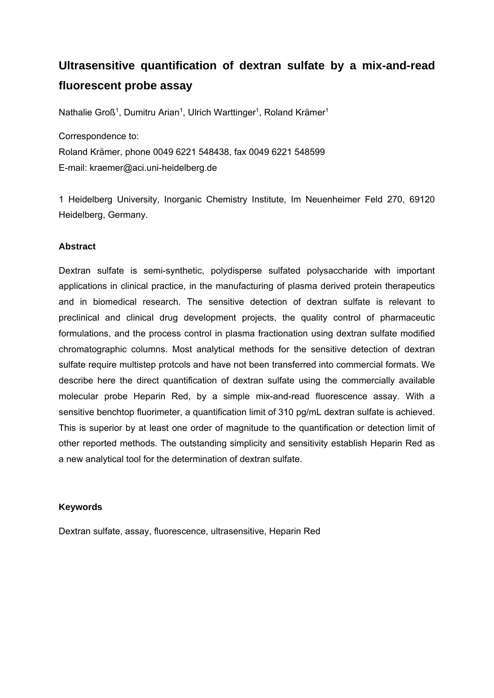# **Ultrasensitive quantification of dextran sulfate by a mix-and-read fluorescent probe assay**

Nathalie Groß<sup>1</sup>, Dumitru Arian<sup>1</sup>, Ulrich Warttinger<sup>1</sup>, Roland Krämer<sup>1</sup>

Correspondence to:

Roland Krämer, phone 0049 6221 548438, fax 0049 6221 548599 E-mail: kraemer@aci.uni-heidelberg.de

1 Heidelberg University, Inorganic Chemistry Institute, Im Neuenheimer Feld 270, 69120 Heidelberg, Germany.

# **Abstract**

Dextran sulfate is semi-synthetic, polydisperse sulfated polysaccharide with important applications in clinical practice, in the manufacturing of plasma derived protein therapeutics and in biomedical research. The sensitive detection of dextran sulfate is relevant to preclinical and clinical drug development projects, the quality control of pharmaceutic formulations, and the process control in plasma fractionation using dextran sulfate modified chromatographic columns. Most analytical methods for the sensitive detection of dextran sulfate require multistep protcols and have not been transferred into commercial formats. We describe here the direct quantification of dextran sulfate using the commercially available molecular probe Heparin Red, by a simple mix-and-read fluorescence assay. With a sensitive benchtop fluorimeter, a quantification limit of 310 pg/mL dextran sulfate is achieved. This is superior by at least one order of magnitude to the quantification or detection limit of other reported methods. The outstanding simplicity and sensitivity establish Heparin Red as a new analytical tool for the determination of dextran sulfate.

# **Keywords**

Dextran sulfate, assay, fluorescence, ultrasensitive, Heparin Red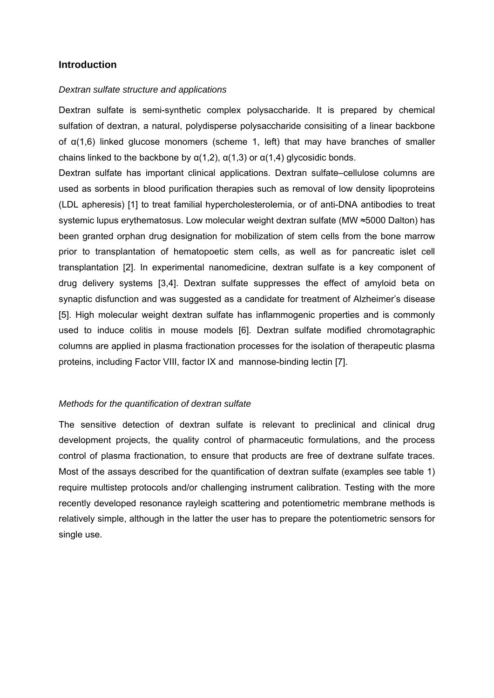# **Introduction**

#### *Dextran sulfate structure and applications*

Dextran sulfate is semi-synthetic complex polysaccharide. It is prepared by chemical sulfation of dextran, a natural, polydisperse polysaccharide consisiting of a linear backbone of α(1,6) linked glucose monomers (scheme 1, left) that may have branches of smaller chains linked to the backbone by  $\alpha(1,2)$ ,  $\alpha(1,3)$  or  $\alpha(1,4)$  glycosidic bonds.

Dextran sulfate has important clinical applications. Dextran sulfate–cellulose columns are used as sorbents in blood purification therapies such as removal of low density lipoproteins (LDL apheresis) [1] to treat familial hypercholesterolemia, or of anti-DNA antibodies to treat systemic lupus erythematosus. Low molecular weight dextran sulfate (MW ≈5000 Dalton) has been granted orphan drug designation for mobilization of stem cells from the bone marrow prior to transplantation of hematopoetic stem cells, as well as for pancreatic islet cell transplantation [2]. In experimental nanomedicine, dextran sulfate is a key component of drug delivery systems [3,4]. Dextran sulfate suppresses the effect of amyloid beta on synaptic disfunction and was suggested as a candidate for treatment of Alzheimer's disease [5]. High molecular weight dextran sulfate has inflammogenic properties and is commonly used to induce colitis in mouse models [6]. Dextran sulfate modified chromotagraphic columns are applied in plasma fractionation processes for the isolation of therapeutic plasma proteins, including Factor VIII, factor IX and mannose-binding lectin [7].

#### *Methods for the quantification of dextran sulfate*

The sensitive detection of dextran sulfate is relevant to preclinical and clinical drug development projects, the quality control of pharmaceutic formulations, and the process control of plasma fractionation, to ensure that products are free of dextrane sulfate traces. Most of the assays described for the quantification of dextran sulfate (examples see table 1) require multistep protocols and/or challenging instrument calibration. Testing with the more recently developed resonance rayleigh scattering and potentiometric membrane methods is relatively simple, although in the latter the user has to prepare the potentiometric sensors for single use.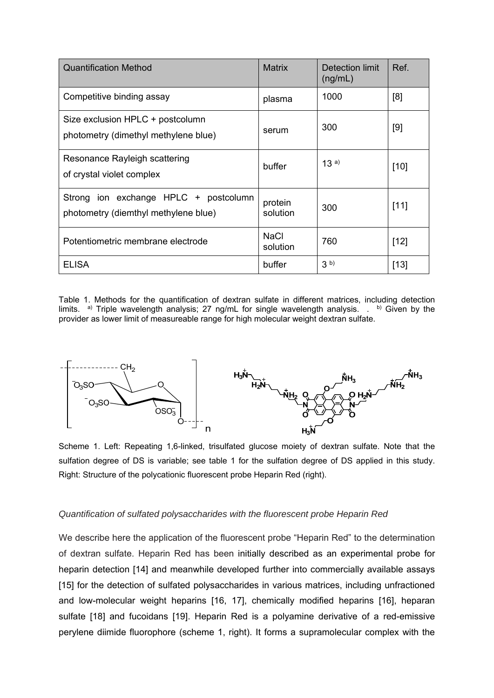| <b>Quantification Method</b>                                                  | <b>Matrix</b>           | Detection limit<br>(ng/mL) | Ref.   |
|-------------------------------------------------------------------------------|-------------------------|----------------------------|--------|
| Competitive binding assay                                                     | plasma                  | 1000                       | [8]    |
| Size exclusion HPLC + postcolumn<br>photometry (dimethyl methylene blue)      | serum                   | 300                        | [9]    |
| Resonance Rayleigh scattering<br>of crystal violet complex                    | buffer                  | 13a)                       | $[10]$ |
| Strong ion exchange HPLC + postcolumn<br>photometry (diemthyl methylene blue) | protein<br>solution     | 300                        | [11]   |
| Potentiometric membrane electrode                                             | <b>NaCl</b><br>solution | 760                        | $[12]$ |
| <b>ELISA</b>                                                                  | buffer                  | 3 <sup>b</sup>             | $[13]$ |

Table 1. Methods for the quantification of dextran sulfate in different matrices, including detection limits. <sup>a)</sup> Triple wavelength analysis; 27 ng/mL for single wavelength analysis. . <sup>b)</sup> Given by the provider as lower limit of measureable range for high molecular weight dextran sulfate.



Scheme 1. Left: Repeating 1,6-linked, trisulfated glucose moiety of dextran sulfate. Note that the sulfation degree of DS is variable; see table 1 for the sulfation degree of DS applied in this study. Right: Structure of the polycationic fluorescent probe Heparin Red (right).

# *Quantification of sulfated polysaccharides with the fluorescent probe Heparin Red*

We describe here the application of the fluorescent probe "Heparin Red" to the determination of dextran sulfate. Heparin Red has been initially described as an experimental probe for heparin detection [14] and meanwhile developed further into commercially available assays [15] for the detection of sulfated polysaccharides in various matrices, including unfractioned and low-molecular weight heparins [16, 17], chemically modified heparins [16], heparan sulfate [18] and fucoidans [19]. Heparin Red is a polyamine derivative of a red-emissive perylene diimide fluorophore (scheme 1, right). It forms a supramolecular complex with the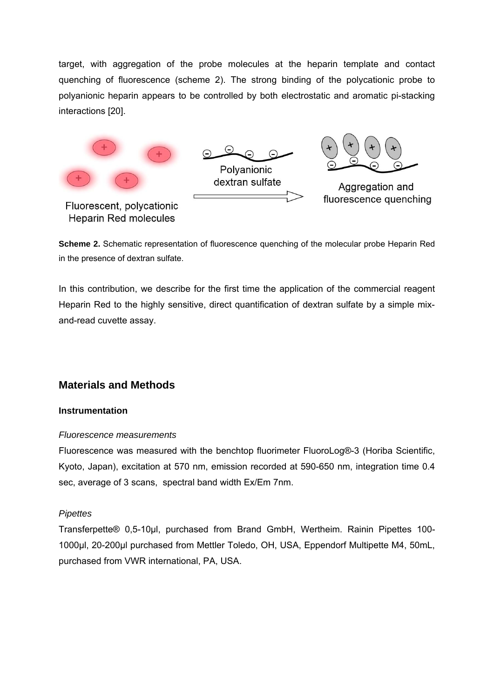target, with aggregation of the probe molecules at the heparin template and contact quenching of fluorescence (scheme 2). The strong binding of the polycationic probe to polyanionic heparin appears to be controlled by both electrostatic and aromatic pi-stacking interactions [20].



**Scheme 2.** Schematic representation of fluorescence quenching of the molecular probe Heparin Red in the presence of dextran sulfate.

In this contribution, we describe for the first time the application of the commercial reagent Heparin Red to the highly sensitive, direct quantification of dextran sulfate by a simple mixand-read cuvette assay.

# **Materials and Methods**

# **Instrumentation**

#### *Fluorescence measurements*

Fluorescence was measured with the benchtop fluorimeter FluoroLog®-3 (Horiba Scientific, Kyoto, Japan), excitation at 570 nm, emission recorded at 590-650 nm, integration time 0.4 sec, average of 3 scans, spectral band width Ex/Em 7nm.

# *Pipettes*

Transferpette® 0,5-10µl, purchased from Brand GmbH, Wertheim. Rainin Pipettes 100- 1000µl, 20-200µl purchased from Mettler Toledo, OH, USA, Eppendorf Multipette M4, 50mL, purchased from VWR international, PA, USA.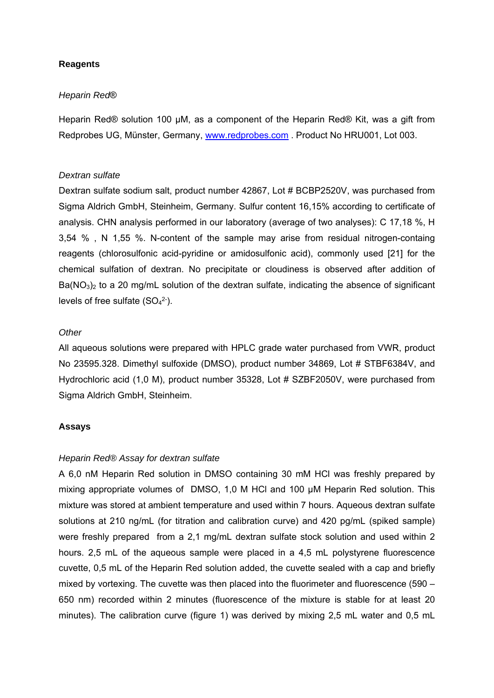# **Reagents**

#### *Heparin Red*®

Heparin Red® solution 100 µM, as a component of the Heparin Red® Kit, was a gift from Redprobes UG, Münster, Germany, www.redprobes.com . Product No HRU001, Lot 003.

#### *Dextran sulfate*

Dextran sulfate sodium salt, product number 42867, Lot # BCBP2520V, was purchased from Sigma Aldrich GmbH, Steinheim, Germany. Sulfur content 16,15% according to certificate of analysis. CHN analysis performed in our laboratory (average of two analyses): C 17,18 %, H 3,54 % , N 1,55 %. N-content of the sample may arise from residual nitrogen-containg reagents (chlorosulfonic acid-pyridine or amidosulfonic acid), commonly used [21] for the chemical sulfation of dextran. No precipitate or cloudiness is observed after addition of  $Ba(NO<sub>3</sub>)<sub>2</sub>$  to a 20 mg/mL solution of the dextran sulfate, indicating the absence of significant levels of free sulfate  $(SO<sub>4</sub><sup>2</sup>)$ .

#### *Other*

All aqueous solutions were prepared with HPLC grade water purchased from VWR, product No 23595.328. Dimethyl sulfoxide (DMSO), product number 34869, Lot # STBF6384V, and Hydrochloric acid (1,0 M), product number 35328, Lot # SZBF2050V, were purchased from Sigma Aldrich GmbH, Steinheim.

#### **Assays**

#### *Heparin Red® Assay for dextran sulfate*

A 6,0 nM Heparin Red solution in DMSO containing 30 mM HCl was freshly prepared by mixing appropriate volumes of DMSO, 1,0 M HCl and 100 µM Heparin Red solution. This mixture was stored at ambient temperature and used within 7 hours. Aqueous dextran sulfate solutions at 210 ng/mL (for titration and calibration curve) and 420 pg/mL (spiked sample) were freshly prepared from a 2,1 mg/mL dextran sulfate stock solution and used within 2 hours. 2,5 mL of the aqueous sample were placed in a 4,5 mL polystyrene fluorescence cuvette, 0,5 mL of the Heparin Red solution added, the cuvette sealed with a cap and briefly mixed by vortexing. The cuvette was then placed into the fluorimeter and fluorescence (590 – 650 nm) recorded within 2 minutes (fluorescence of the mixture is stable for at least 20 minutes). The calibration curve (figure 1) was derived by mixing 2,5 mL water and 0,5 mL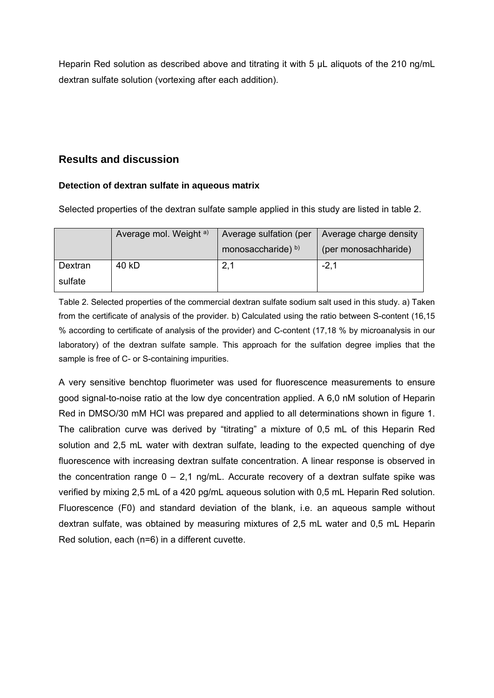Heparin Red solution as described above and titrating it with 5  $\mu$ L aliquots of the 210 ng/mL dextran sulfate solution (vortexing after each addition).

# **Results and discussion**

# **Detection of dextran sulfate in aqueous matrix**

Selected properties of the dextran sulfate sample applied in this study are listed in table 2.

|         | Average mol. Weight a) | Average sulfation (per | Average charge density |  |
|---------|------------------------|------------------------|------------------------|--|
|         |                        | monosaccharide) b)     | (per monosachharide)   |  |
| Dextran | 40 kD                  | 2,1                    | $-2,1$                 |  |
| sulfate |                        |                        |                        |  |

Table 2. Selected properties of the commercial dextran sulfate sodium salt used in this study. a) Taken from the certificate of analysis of the provider. b) Calculated using the ratio between S-content (16,15 % according to certificate of analysis of the provider) and C-content (17,18 % by microanalysis in our laboratory) of the dextran sulfate sample. This approach for the sulfation degree implies that the sample is free of C- or S-containing impurities.

A very sensitive benchtop fluorimeter was used for fluorescence measurements to ensure good signal-to-noise ratio at the low dye concentration applied. A 6,0 nM solution of Heparin Red in DMSO/30 mM HCl was prepared and applied to all determinations shown in figure 1. The calibration curve was derived by "titrating" a mixture of 0,5 mL of this Heparin Red solution and 2,5 mL water with dextran sulfate, leading to the expected quenching of dye fluorescence with increasing dextran sulfate concentration. A linear response is observed in the concentration range  $0 - 2.1$  ng/mL. Accurate recovery of a dextran sulfate spike was verified by mixing 2,5 mL of a 420 pg/mL aqueous solution with 0,5 mL Heparin Red solution. Fluorescence (F0) and standard deviation of the blank, i.e. an aqueous sample without dextran sulfate, was obtained by measuring mixtures of 2,5 mL water and 0,5 mL Heparin Red solution, each (n=6) in a different cuvette.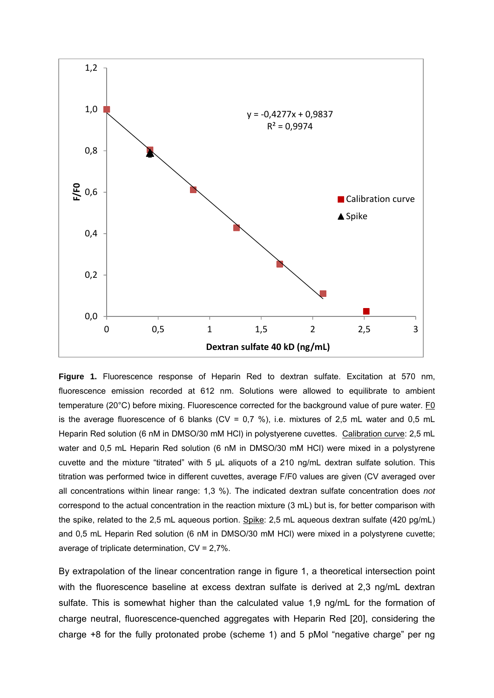

**Figure 1.** Fluorescence response of Heparin Red to dextran sulfate. Excitation at 570 nm, fluorescence emission recorded at 612 nm. Solutions were allowed to equilibrate to ambient temperature (20°C) before mixing. Fluorescence corrected for the background value of pure water. F0 is the average fluorescence of 6 blanks ( $CV = 0.7$  %), i.e. mixtures of 2,5 mL water and 0,5 mL Heparin Red solution (6 nM in DMSO/30 mM HCl) in polystyerene cuvettes. Calibration curve: 2,5 mL water and 0,5 mL Heparin Red solution (6 nM in DMSO/30 mM HCl) were mixed in a polystyrene cuvette and the mixture "titrated" with 5 µL aliquots of a 210 ng/mL dextran sulfate solution. This titration was performed twice in different cuvettes, average F/F0 values are given (CV averaged over all concentrations within linear range: 1,3 %). The indicated dextran sulfate concentration does *not* correspond to the actual concentration in the reaction mixture (3 mL) but is, for better comparison with the spike, related to the 2,5 mL aqueous portion. Spike: 2,5 mL aqueous dextran sulfate (420 pg/mL) and 0,5 mL Heparin Red solution (6 nM in DMSO/30 mM HCl) were mixed in a polystyrene cuvette; average of triplicate determination, CV = 2,7%.

By extrapolation of the linear concentration range in figure 1, a theoretical intersection point with the fluorescence baseline at excess dextran sulfate is derived at 2,3 ng/mL dextran sulfate. This is somewhat higher than the calculated value 1,9 ng/mL for the formation of charge neutral, fluorescence-quenched aggregates with Heparin Red [20], considering the charge +8 for the fully protonated probe (scheme 1) and 5 pMol "negative charge" per ng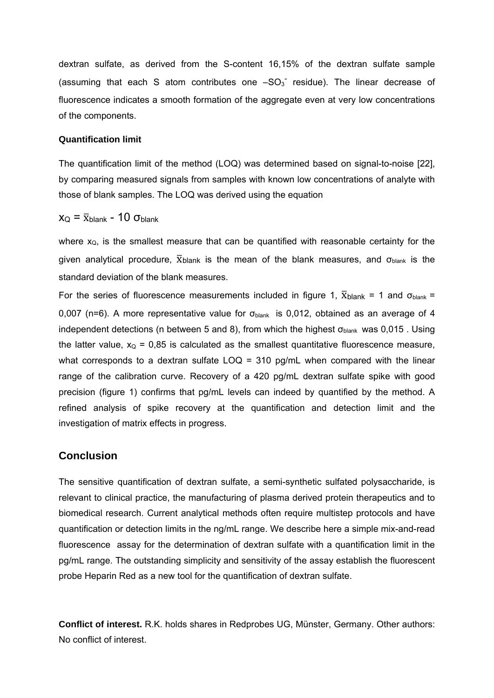dextran sulfate, as derived from the S-content 16,15% of the dextran sulfate sample (assuming that each S atom contributes one  $-SO_3^-$  residue). The linear decrease of fluorescence indicates a smooth formation of the aggregate even at very low concentrations of the components.

#### **Quantification limit**

The quantification limit of the method (LOQ) was determined based on signal-to-noise [22], by comparing measured signals from samples with known low concentrations of analyte with those of blank samples. The LOQ was derived using the equation

 $x_{\rm O} = \bar{x}_{\rm blank}$  - 10  $\sigma_{\rm blank}$ 

where  $x<sub>Q</sub>$ , is the smallest measure that can be quantified with reasonable certainty for the given analytical procedure,  $\bar{x}_{\text{blank}}$  is the mean of the blank measures, and  $\sigma_{\text{blank}}$  is the standard deviation of the blank measures.

For the series of fluorescence measurements included in figure 1,  $\bar{x}_{\text{blank}} = 1$  and  $\sigma_{\text{blank}} =$ 0,007 (n=6). A more representative value for  $\sigma_{\text{blank}}$  is 0,012, obtained as an average of 4 independent detections (n between 5 and 8), from which the highest  $\sigma_{\text{blank}}$  was 0,015. Using the latter value,  $x<sub>Q</sub> = 0.85$  is calculated as the smallest quantitative fluorescence measure, what corresponds to a dextran sulfate LOQ = 310 pg/mL when compared with the linear range of the calibration curve. Recovery of a 420 pg/mL dextran sulfate spike with good precision (figure 1) confirms that pg/mL levels can indeed by quantified by the method. A refined analysis of spike recovery at the quantification and detection limit and the investigation of matrix effects in progress.

# **Conclusion**

The sensitive quantification of dextran sulfate, a semi-synthetic sulfated polysaccharide, is relevant to clinical practice, the manufacturing of plasma derived protein therapeutics and to biomedical research. Current analytical methods often require multistep protocols and have quantification or detection limits in the ng/mL range. We describe here a simple mix-and-read fluorescence assay for the determination of dextran sulfate with a quantification limit in the pg/mL range. The outstanding simplicity and sensitivity of the assay establish the fluorescent probe Heparin Red as a new tool for the quantification of dextran sulfate.

**Conflict of interest.** R.K. holds shares in Redprobes UG, Münster, Germany. Other authors: No conflict of interest.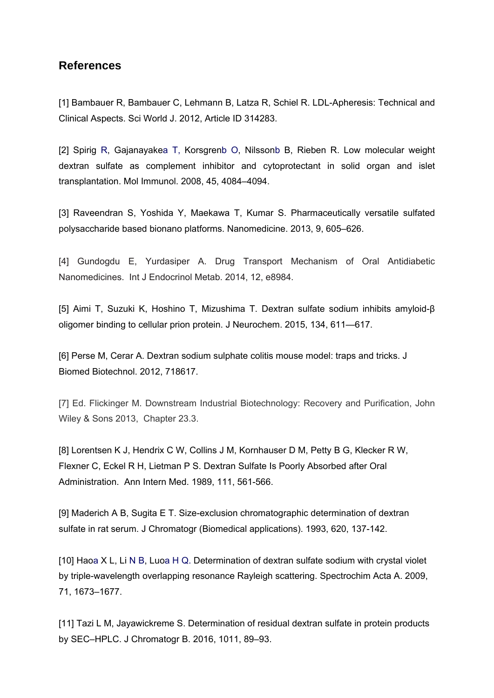# **References**

[1] Bambauer R, Bambauer C, Lehmann B, Latza R, Schiel R. LDL-Apheresis: Technical and Clinical Aspects. Sci World J. 2012, Article ID 314283.

[2] Spirig R, Gajanayakea T, Korsgrenb O, Nilssonb B, Rieben R. Low molecular weight dextran sulfate as complement inhibitor and cytoprotectant in solid organ and islet transplantation. Mol Immunol. 2008, 45, 4084–4094.

[3] Raveendran S, Yoshida Y, Maekawa T, Kumar S. Pharmaceutically versatile sulfated polysaccharide based bionano platforms. Nanomedicine. 2013, 9, 605–626.

[4] Gundogdu E, Yurdasiper A. Drug Transport Mechanism of Oral Antidiabetic Nanomedicines. Int J Endocrinol Metab. 2014, 12, e8984.

[5] Aimi T, Suzuki K, Hoshino T, Mizushima T. Dextran sulfate sodium inhibits amyloid-β oligomer binding to cellular prion protein. J Neurochem. 2015, 134, 611—617.

[6] Perse M, Cerar A. Dextran sodium sulphate colitis mouse model: traps and tricks. J Biomed Biotechnol. 2012, 718617.

[7] Ed. Flickinger M. Downstream Industrial Biotechnology: Recovery and Purification, John Wiley & Sons 2013, Chapter 23.3.

[8] Lorentsen K J, Hendrix C W, Collins J M, Kornhauser D M, Petty B G, Klecker R W, Flexner C, Eckel R H, Lietman P S. Dextran Sulfate Is Poorly Absorbed after Oral Administration. Ann Intern Med. 1989, 111, 561-566.

[9] Maderich A B, Sugita E T. Size-exclusion chromatographic determination of dextran sulfate in rat serum. J Chromatogr (Biomedical applications). 1993, 620, 137-142.

[10] Haoa X L, Li N B, Luoa H Q. Determination of dextran sulfate sodium with crystal violet by triple-wavelength overlapping resonance Rayleigh scattering. Spectrochim Acta A. 2009, 71, 1673–1677.

[11] Tazi L M, Jayawickreme S. Determination of residual dextran sulfate in protein products by SEC–HPLC. J Chromatogr B. 2016, 1011, 89–93.